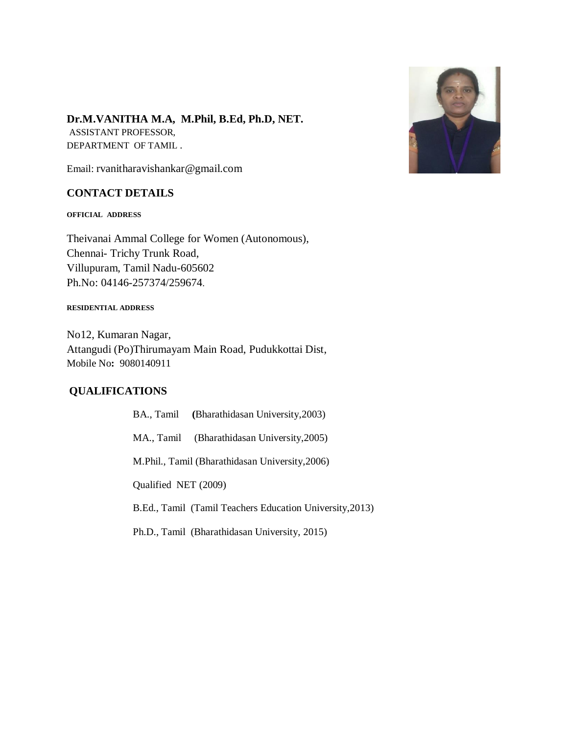

# **Dr.M.VANITHA M.A, M.Phil, B.Ed, Ph.D, NET.**

ASSISTANT PROFESSOR, DEPARTMENT OF TAMIL .

Email: rvanitharavishankar@gmail.com

### **CONTACT DETAILS**

**OFFICIAL ADDRESS**

Theivanai Ammal College for Women (Autonomous), Chennai- Trichy Trunk Road, Villupuram, Tamil Nadu-605602 Ph.No: 04146-257374/259674.

#### **RESIDENTIAL ADDRESS**

No12, Kumaran Nagar, Attangudi (Po)Thirumayam Main Road, Pudukkottai Dist, Mobile No**:** 9080140911

# **QUALIFICATIONS**

|                                                          | BA., Tamil (Bharathidasan University, 2003) |
|----------------------------------------------------------|---------------------------------------------|
|                                                          | MA., Tamil (Bharathidasan University, 2005) |
| M.Phil., Tamil (Bharathidasan University, 2006)          |                                             |
| Qualified NET (2009)                                     |                                             |
| B.Ed., Tamil (Tamil Teachers Education University, 2013) |                                             |
|                                                          |                                             |

Ph.D., Tamil (Bharathidasan University, 2015)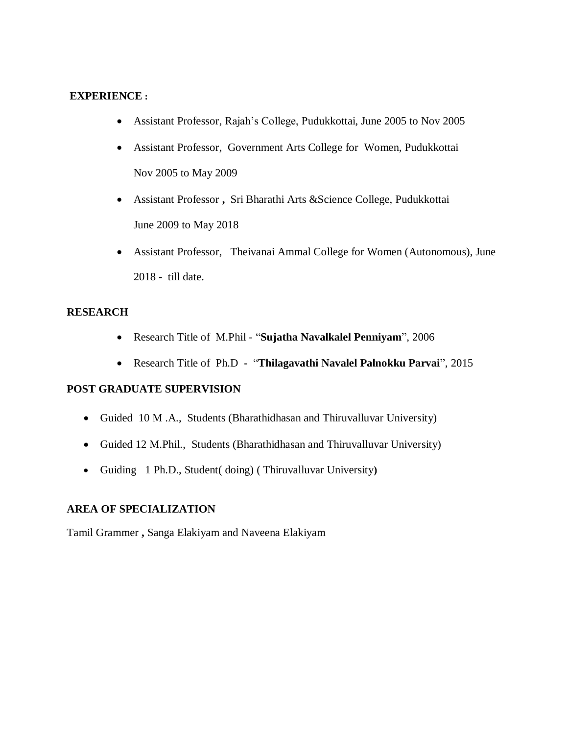### **EXPERIENCE :**

- Assistant Professor, Rajah's College, Pudukkottai, June 2005 to Nov 2005
- Assistant Professor, Government Arts College for Women, Pudukkottai Nov 2005 to May 2009
- Assistant Professor **,** Sri Bharathi Arts &Science College, Pudukkottai June 2009 to May 2018
- Assistant Professor, Theivanai Ammal College for Women (Autonomous), June 2018 - till date.

# **RESEARCH**

- Research Title of M.Phil "**Sujatha Navalkalel Penniyam**", 2006
- Research Title of Ph.D "**Thilagavathi Navalel Palnokku Parvai**", 2015

# **POST GRADUATE SUPERVISION**

- Guided 10 M .A., Students (Bharathidhasan and Thiruvalluvar University)
- Guided 12 M.Phil., Students (Bharathidhasan and Thiruvalluvar University)
- Guiding 1 Ph.D., Student( doing) ( Thiruvalluvar University**)**

# **AREA OF SPECIALIZATION**

Tamil Grammer **,** Sanga Elakiyam and Naveena Elakiyam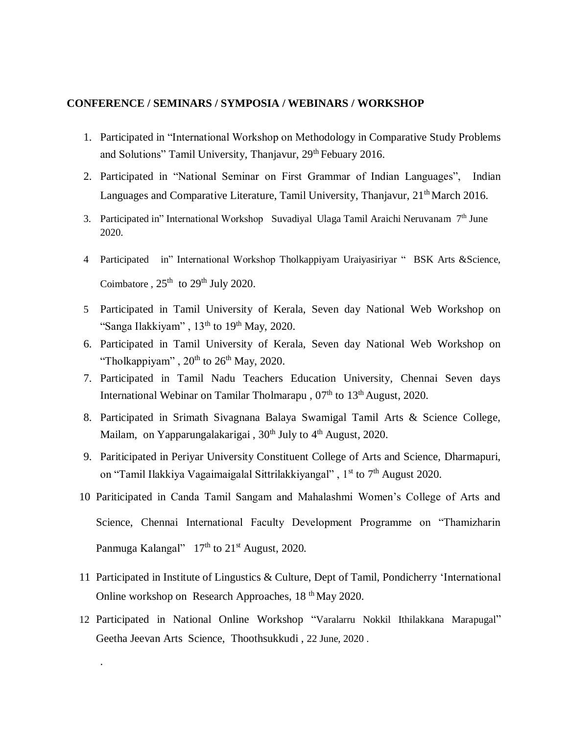#### **CONFERENCE / SEMINARS / SYMPOSIA / WEBINARS / WORKSHOP**

- 1. Participated in "International Workshop on Methodology in Comparative Study Problems and Solutions" Tamil University, Thanjavur, 29<sup>th</sup> Febuary 2016.
- 2. Participated in "National Seminar on First Grammar of Indian Languages", Indian Languages and Comparative Literature, Tamil University, Thanjavur, 21<sup>th</sup> March 2016.
- 3. Participated in" International Workshop Suvadiyal Ulaga Tamil Araichi Neruvanam 7<sup>th</sup> June 2020.
- 4 Participated in" International Workshop Tholkappiyam Uraiyasiriyar " BSK Arts &Science, Coimbatore,  $25<sup>th</sup>$  to  $29<sup>th</sup>$  July 2020.
- 5 Participated in Tamil University of Kerala, Seven day National Web Workshop on "Sanga Ilakkiyam",  $13<sup>th</sup>$  to  $19<sup>th</sup>$  May, 2020.
- 6. Participated in Tamil University of Kerala, Seven day National Web Workshop on "Tholkappiyam",  $20<sup>th</sup>$  to  $26<sup>th</sup>$  May, 2020.
- 7. Participated in Tamil Nadu Teachers Education University, Chennai Seven days International Webinar on Tamilar Tholmarapu, 07<sup>th</sup> to 13<sup>th</sup> August, 2020.
- 8. Participated in Srimath Sivagnana Balaya Swamigal Tamil Arts & Science College, Mailam, on Yapparungalakarigai,  $30<sup>th</sup>$  July to  $4<sup>th</sup>$  August, 2020.
- 9. Pariticipated in Periyar University Constituent College of Arts and Science, Dharmapuri, on "Tamil Ilakkiya Vagaimaigalal Sittrilakkiyangal", 1<sup>st</sup> to 7<sup>th</sup> August 2020.
- 10 Pariticipated in Canda Tamil Sangam and Mahalashmi Women's College of Arts and Science, Chennai International Faculty Development Programme on "Thamizharin Panmuga Kalangal" 17<sup>th</sup> to 21<sup>st</sup> August, 2020.
- 11 Participated in Institute of Lingustics & Culture, Dept of Tamil, Pondicherry 'International Online workshop on Research Approaches, 18 th May 2020.
- 12 Participated in National Online Workshop "Varalarru Nokkil Ithilakkana Marapugal" Geetha Jeevan Arts Science, Thoothsukkudi , 22 June, 2020 .

.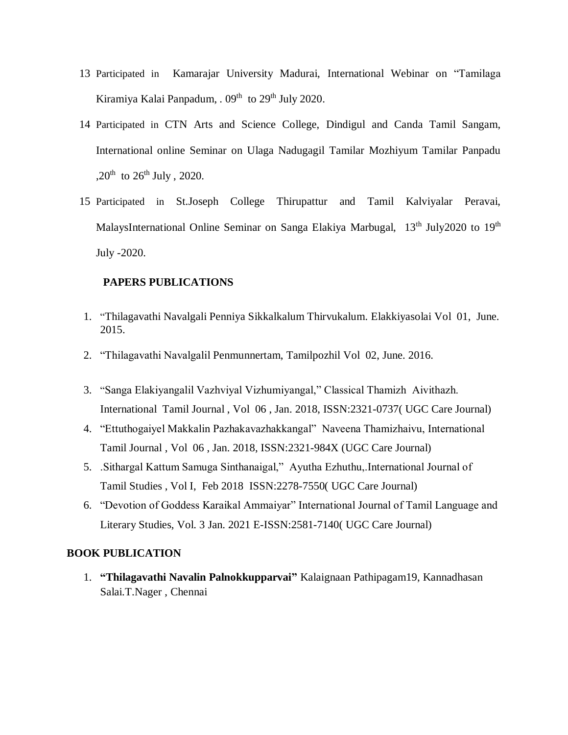- 13 Participated in Kamarajar University Madurai, International Webinar on "Tamilaga Kiramiya Kalai Panpadum, . 09<sup>th</sup> to 29<sup>th</sup> July 2020.
- 14 Participated in CTN Arts and Science College, Dindigul and Canda Tamil Sangam, International online Seminar on Ulaga Nadugagil Tamilar Mozhiyum Tamilar Panpadu ,20<sup>th</sup> to 26<sup>th</sup> July, 2020.
- 15 Participated in St.Joseph College Thirupattur and Tamil Kalviyalar Peravai, MalaysInternational Online Seminar on Sanga Elakiya Marbugal, 13<sup>th</sup> July2020 to 19<sup>th</sup> July -2020.

### **PAPERS PUBLICATIONS**

- 1. "Thilagavathi Navalgali Penniya Sikkalkalum Thirvukalum. Elakkiyasolai Vol 01, June. 2015.
- 2. "Thilagavathi Navalgalil Penmunnertam, Tamilpozhil Vol 02, June. 2016.
- 3. "Sanga Elakiyangalil Vazhviyal Vizhumiyangal," Classical Thamizh Aivithazh. International Tamil Journal , Vol 06 , Jan. 2018, ISSN:2321-0737( UGC Care Journal)
- 4. "Ettuthogaiyel Makkalin Pazhakavazhakkangal" Naveena Thamizhaivu, International Tamil Journal , Vol 06 , Jan. 2018, ISSN:2321-984X (UGC Care Journal)
- 5. .Sithargal Kattum Samuga Sinthanaigal," Ayutha Ezhuthu,.International Journal of Tamil Studies , Vol I, Feb 2018 ISSN:2278-7550( UGC Care Journal)
- 6. "Devotion of Goddess Karaikal Ammaiyar" International Journal of Tamil Language and Literary Studies, Vol. 3 Jan. 2021 E-ISSN:2581-7140( UGC Care Journal)

#### **BOOK PUBLICATION**

1. **"Thilagavathi Navalin Palnokkupparvai"** Kalaignaan Pathipagam19, Kannadhasan Salai.T.Nager , Chennai